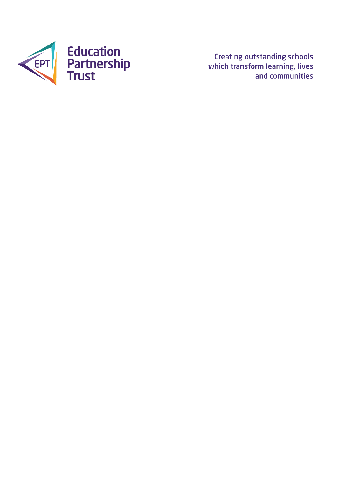

**Creating outstanding schools** which transform learning, lives and communities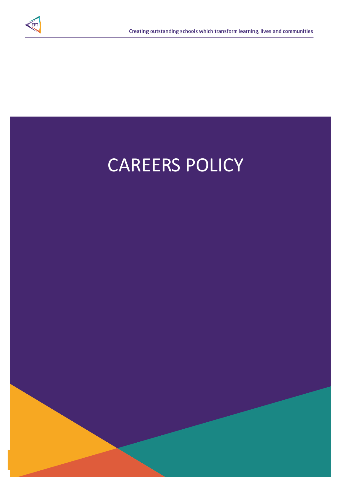

# CAREERS POLICY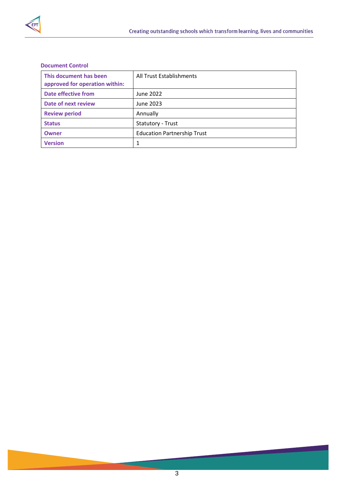

# **Document Control**

| This document has been         | All Trust Establishments           |  |
|--------------------------------|------------------------------------|--|
| approved for operation within: |                                    |  |
| Date effective from            | June 2022                          |  |
| Date of next review            | June 2023                          |  |
| <b>Review period</b>           | Annually                           |  |
| <b>Status</b>                  | Statutory - Trust                  |  |
| <b>Owner</b>                   | <b>Education Partnership Trust</b> |  |
| <b>Version</b>                 | 1                                  |  |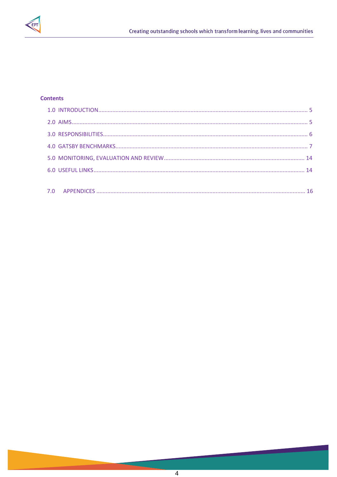

# **Contents**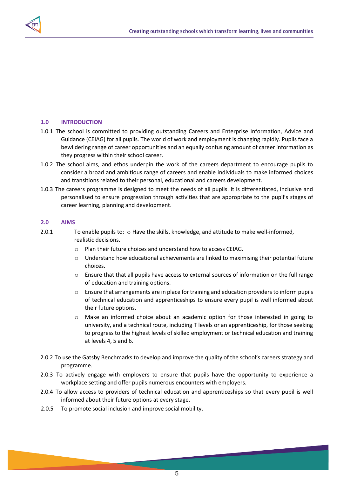

# <span id="page-4-0"></span>**1.0 INTRODUCTION**

- 1.0.1 The school is committed to providing outstanding Careers and Enterprise Information, Advice and Guidance (CEIAG) for all pupils. The world of work and employment is changing rapidly. Pupils face a bewildering range of career opportunities and an equally confusing amount of career information as they progress within their school career.
- 1.0.2 The school aims, and ethos underpin the work of the careers department to encourage pupils to consider a broad and ambitious range of careers and enable individuals to make informed choices and transitions related to their personal, educational and careers development.
- 1.0.3 The careers programme is designed to meet the needs of all pupils. It is differentiated, inclusive and personalised to ensure progression through activities that are appropriate to the pupil's stages of career learning, planning and development.

## <span id="page-4-1"></span>**2.0 AIMS**

- 2.0.1 To enable pupils to:  $\circ$  Have the skills, knowledge, and attitude to make well-informed, realistic decisions.
	- o Plan their future choices and understand how to access CEIAG.
	- $\circ$  Understand how educational achievements are linked to maximising their potential future choices.
	- o Ensure that that all pupils have access to external sources of information on the full range of education and training options.
	- $\circ$  Ensure that arrangements are in place for training and education providers to inform pupils of technical education and apprenticeships to ensure every pupil is well informed about their future options.
	- o Make an informed choice about an academic option for those interested in going to university, and a technical route, including T levels or an apprenticeship, for those seeking to progress to the highest levels of skilled employment or technical education and training at levels 4, 5 and 6.
- 2.0.2 To use the Gatsby Benchmarks to develop and improve the quality of the school's careers strategy and programme.
- 2.0.3 To actively engage with employers to ensure that pupils have the opportunity to experience a workplace setting and offer pupils numerous encounters with employers.
- 2.0.4 To allow access to providers of technical education and apprenticeships so that every pupil is well informed about their future options at every stage.
- 2.0.5 To promote social inclusion and improve social mobility.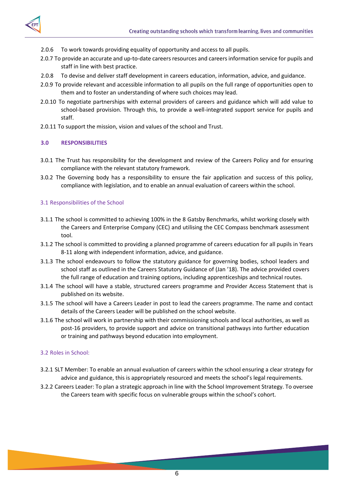

- 2.0.6 To work towards providing equality of opportunity and access to all pupils.
- 2.0.7 To provide an accurate and up-to-date careers resources and careers information service for pupils and staff in line with best practice.
- 2.0.8 To devise and deliver staff development in careers education, information, advice, and guidance.
- 2.0.9 To provide relevant and accessible information to all pupils on the full range of opportunities open to them and to foster an understanding of where such choices may lead.
- 2.0.10 To negotiate partnerships with external providers of careers and guidance which will add value to school-based provision. Through this, to provide a well-integrated support service for pupils and staff.
- 2.0.11 To support the mission, vision and values of the school and Trust.

## <span id="page-5-0"></span>**3.0 RESPONSIBILITIES**

- 3.0.1 The Trust has responsibility for the development and review of the Careers Policy and for ensuring compliance with the relevant statutory framework.
- 3.0.2 The Governing body has a responsibility to ensure the fair application and success of this policy, compliance with legislation, and to enable an annual evaluation of careers within the school.

## 3.1 Responsibilities of the School

- 3.1.1 The school is committed to achieving 100% in the 8 Gatsby Benchmarks, whilst working closely with the Careers and Enterprise Company (CEC) and utilising the CEC Compass benchmark assessment tool.
- 3.1.2 The school is committed to providing a planned programme of careers education for all pupils in Years 8-11 along with independent information, advice, and guidance.
- 3.1.3 The school endeavours to follow the statutory guidance for governing bodies, school leaders and school staff as outlined in the Careers Statutory Guidance of (Jan '18). The advice provided covers the full range of education and training options, including apprenticeships and technical routes.
- 3.1.4 The school will have a stable, structured careers programme and Provider Access Statement that is published on its website.
- 3.1.5 The school will have a Careers Leader in post to lead the careers programme. The name and contact details of the Careers Leader will be published on the school website.
- 3.1.6 The school will work in partnership with their commissioning schools and local authorities, as well as post-16 providers, to provide support and advice on transitional pathways into further education or training and pathways beyond education into employment.

### 3.2 Roles in School:

- 3.2.1 SLT Member: To enable an annual evaluation of careers within the school ensuring a clear strategy for advice and guidance, this is appropriately resourced and meets the school's legal requirements.
- 3.2.2 Careers Leader: To plan a strategic approach in line with the School Improvement Strategy. To oversee the Careers team with specific focus on vulnerable groups within the school's cohort.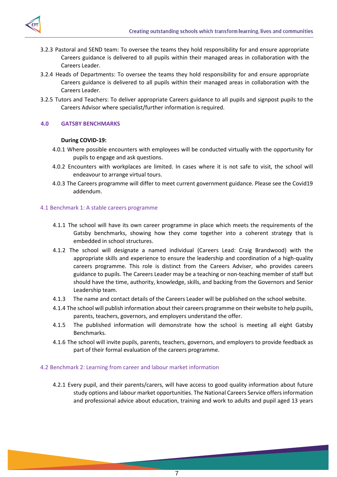

- 3.2.3 Pastoral and SEND team: To oversee the teams they hold responsibility for and ensure appropriate Careers guidance is delivered to all pupils within their managed areas in collaboration with the Careers Leader.
- 3.2.4 Heads of Departments: To oversee the teams they hold responsibility for and ensure appropriate Careers guidance is delivered to all pupils within their managed areas in collaboration with the Careers Leader.
- 3.2.5 Tutors and Teachers: To deliver appropriate Careers guidance to all pupils and signpost pupils to the Careers Advisor where specialist/further information is required.

# <span id="page-6-0"></span>**4.0 GATSBY BENCHMARKS**

### **During COVID-19:**

- 4.0.1 Where possible encounters with employees will be conducted virtually with the opportunity for pupils to engage and ask questions.
- 4.0.2 Encounters with workplaces are limited. In cases where it is not safe to visit, the school will endeavour to arrange virtual tours.
- 4.0.3 The Careers programme will differ to meet current government guidance. Please see the Covid19 addendum.

#### 4.1 Benchmark 1: A stable careers programme

- 4.1.1 The school will have its own career programme in place which meets the requirements of the Gatsby benchmarks, showing how they come together into a coherent strategy that is embedded in school structures.
- 4.1.2 The school will designate a named individual (Careers Lead: Craig Brandwood) with the appropriate skills and experience to ensure the leadership and coordination of a high-quality careers programme. This role is distinct from the Careers Adviser, who provides careers guidance to pupils. The Careers Leader may be a teaching or non-teaching member of staff but should have the time, authority, knowledge, skills, and backing from the Governors and Senior Leadership team.
- 4.1.3 The name and contact details of the Careers Leader will be published on the school website.
- 4.1.4 The school will publish information about their careers programme on their website to help pupils, parents, teachers, governors, and employers understand the offer.
- 4.1.5 The published information will demonstrate how the school is meeting all eight Gatsby Benchmarks.
- 4.1.6 The school will invite pupils, parents, teachers, governors, and employers to provide feedback as part of their formal evaluation of the careers programme.

#### 4.2 Benchmark 2: Learning from career and labour market information

4.2.1 Every pupil, and their parents/carers, will have access to good quality information about future study options and labour market opportunities. The National Careers Service offers information and professional advice about education, training and work to adults and pupil aged 13 years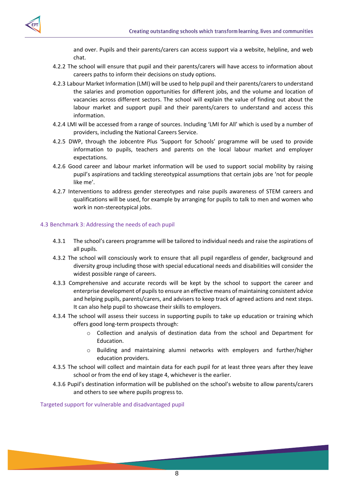and over. Pupils and their parents/carers can access support via a website, helpline, and web chat.

- 4.2.2 The school will ensure that pupil and their parents/carers will have access to information about careers paths to inform their decisions on study options.
- 4.2.3 Labour Market Information (LMI) will be used to help pupil and their parents/carers to understand the salaries and promotion opportunities for different jobs, and the volume and location of vacancies across different sectors. The school will explain the value of finding out about the labour market and support pupil and their parents/carers to understand and access this information.
- 4.2.4 LMI will be accessed from a range of sources. Including 'LMI for All' which is used by a number of providers, including the National Careers Service.
- 4.2.5 DWP, through the Jobcentre Plus 'Support for Schools' programme will be used to provide information to pupils, teachers and parents on the local labour market and employer expectations.
- 4.2.6 Good career and labour market information will be used to support social mobility by raising pupil's aspirations and tackling stereotypical assumptions that certain jobs are 'not for people like me'.
- 4.2.7 Interventions to address gender stereotypes and raise pupils awareness of STEM careers and qualifications will be used, for example by arranging for pupils to talk to men and women who work in non-stereotypical jobs.

### 4.3 Benchmark 3: Addressing the needs of each pupil

- 4.3.1 The school's careers programme will be tailored to individual needs and raise the aspirations of all pupils.
- 4.3.2 The school will consciously work to ensure that all pupil regardless of gender, background and diversity group including those with special educational needs and disabilities will consider the widest possible range of careers.
- 4.3.3 Comprehensive and accurate records will be kept by the school to support the career and enterprise development of pupils to ensure an effective means of maintaining consistent advice and helping pupils, parents/carers, and advisers to keep track of agreed actions and next steps. It can also help pupil to showcase their skills to employers.
- 4.3.4 The school will assess their success in supporting pupils to take up education or training which offers good long-term prospects through:
	- o Collection and analysis of destination data from the school and Department for Education.
	- o Building and maintaining alumni networks with employers and further/higher education providers.
- 4.3.5 The school will collect and maintain data for each pupil for at least three years after they leave school or from the end of key stage 4, whichever is the earlier.
- 4.3.6 Pupil's destination information will be published on the school's website to allow parents/carers and others to see where pupils progress to.

Targeted support for vulnerable and disadvantaged pupil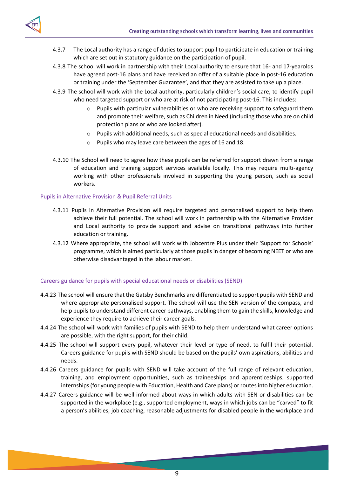



- 4.3.7 The Local authority has a range of duties to support pupil to participate in education or training which are set out in statutory guidance on the participation of pupil.
- 4.3.8 The school will work in partnership with their Local authority to ensure that 16- and 17-yearolds have agreed post-16 plans and have received an offer of a suitable place in post-16 education or training under the 'September Guarantee', and that they are assisted to take up a place.
- 4.3.9 The school will work with the Local authority, particularly children's social care, to identify pupil who need targeted support or who are at risk of not participating post-16. This includes:
	- o Pupils with particular vulnerabilities or who are receiving support to safeguard them and promote their welfare, such as Children in Need (including those who are on child protection plans or who are looked after).
	- $\circ$  Pupils with additional needs, such as special educational needs and disabilities.
	- o Pupils who may leave care between the ages of 16 and 18.
- 4.3.10 The School will need to agree how these pupils can be referred for support drawn from a range of education and training support services available locally. This may require multi-agency working with other professionals involved in supporting the young person, such as social workers.

# Pupils in Alternative Provision & Pupil Referral Units

- 4.3.11 Pupils in Alternative Provision will require targeted and personalised support to help them achieve their full potential. The school will work in partnership with the Alternative Provider and Local authority to provide support and advise on transitional pathways into further education or training.
- 4.3.12 Where appropriate, the school will work with Jobcentre Plus under their 'Support for Schools' programme, which is aimed particularly at those pupils in danger of becoming NEET or who are otherwise disadvantaged in the labour market.

# Careers guidance for pupils with special educational needs or disabilities (SEND)

- 4.4.23 The school will ensure that the Gatsby Benchmarks are differentiated to support pupils with SEND and where appropriate personalised support. The school will use the SEN version of the compass, and help pupils to understand different career pathways, enabling them to gain the skills, knowledge and experience they require to achieve their career goals.
- 4.4.24 The school will work with families of pupils with SEND to help them understand what career options are possible, with the right support, for their child.
- 4.4.25 The school will support every pupil, whatever their level or type of need, to fulfil their potential. Careers guidance for pupils with SEND should be based on the pupils' own aspirations, abilities and needs.
- 4.4.26 Careers guidance for pupils with SEND will take account of the full range of relevant education, training, and employment opportunities, such as traineeships and apprenticeships, supported internships (for young people with Education, Health and Care plans) or routes into higher education.
- 4.4.27 Careers guidance will be well informed about ways in which adults with SEN or disabilities can be supported in the workplace (e.g., supported employment, ways in which jobs can be "carved" to fit a person's abilities, job coaching, reasonable adjustments for disabled people in the workplace and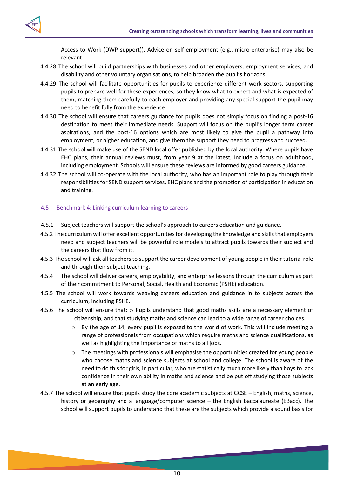Access to Work (DWP support)). Advice on self-employment (e.g., micro-enterprise) may also be relevant.

- 4.4.28 The school will build partnerships with businesses and other employers, employment services, and disability and other voluntary organisations, to help broaden the pupil's horizons.
- 4.4.29 The school will facilitate opportunities for pupils to experience different work sectors, supporting pupils to prepare well for these experiences, so they know what to expect and what is expected of them, matching them carefully to each employer and providing any special support the pupil may need to benefit fully from the experience.
- 4.4.30 The school will ensure that careers guidance for pupils does not simply focus on finding a post-16 destination to meet their immediate needs. Support will focus on the pupil's longer term career aspirations, and the post-16 options which are most likely to give the pupil a pathway into employment, or higher education, and give them the support they need to progress and succeed.
- 4.4.31 The school will make use of the SEND local offer published by the local authority. Where pupils have EHC plans, their annual reviews must, from year 9 at the latest, include a focus on adulthood, including employment. Schools will ensure these reviews are informed by good careers guidance.
- 4.4.32 The school will co-operate with the local authority, who has an important role to play through their responsibilities for SEND support services, EHC plans and the promotion of participation in education and training.

### 4.5 Benchmark 4: Linking curriculum learning to careers

- 4.5.1 Subject teachers will support the school's approach to careers education and guidance.
- 4.5.2 The curriculum will offer excellent opportunities for developing the knowledge and skills that employers need and subject teachers will be powerful role models to attract pupils towards their subject and the careers that flow from it.
- 4.5.3 The school will ask all teachers to support the career development of young people in their tutorial role and through their subject teaching.
- 4.5.4 The school will deliver careers, employability, and enterprise lessons through the curriculum as part of their commitment to Personal, Social, Health and Economic (PSHE) education.
- 4.5.5 The school will work towards weaving careers education and guidance in to subjects across the curriculum, including PSHE.
- 4.5.6 The school will ensure that:  $\circ$  Pupils understand that good maths skills are a necessary element of citizenship, and that studying maths and science can lead to a wide range of career choices.
	- $\circ$  By the age of 14, every pupil is exposed to the world of work. This will include meeting a range of professionals from occupations which require maths and science qualifications, as well as highlighting the importance of maths to all jobs.
	- $\circ$  The meetings with professionals will emphasise the opportunities created for young people who choose maths and science subjects at school and college. The school is aware of the need to do this for girls, in particular, who are statistically much more likely than boys to lack confidence in their own ability in maths and science and be put off studying those subjects at an early age.
- 4.5.7 The school will ensure that pupils study the core academic subjects at GCSE English, maths, science, history or geography and a language/computer science – the English Baccalaureate (EBacc). The school will support pupils to understand that these are the subjects which provide a sound basis for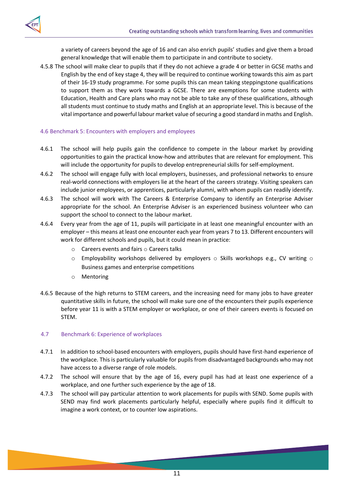

a variety of careers beyond the age of 16 and can also enrich pupils' studies and give them a broad general knowledge that will enable them to participate in and contribute to society.

4.5.8 The school will make clear to pupils that if they do not achieve a grade 4 or better in GCSE maths and English by the end of key stage 4, they will be required to continue working towards this aim as part of their 16-19 study programme. For some pupils this can mean taking steppingstone qualifications to support them as they work towards a GCSE. There are exemptions for some students with Education, Health and Care plans who may not be able to take any of these qualifications, although all students must continue to study maths and English at an appropriate level. This is because of the vital importance and powerful labour market value of securing a good standard in maths and English.

## 4.6 Benchmark 5: Encounters with employers and employees

- 4.6.1 The school will help pupils gain the confidence to compete in the labour market by providing opportunities to gain the practical know-how and attributes that are relevant for employment. This will include the opportunity for pupils to develop entrepreneurial skills for self-employment.
- 4.6.2 The school will engage fully with local employers, businesses, and professional networks to ensure real-world connections with employers lie at the heart of the careers strategy. Visiting speakers can include junior employees, or apprentices, particularly alumni, with whom pupils can readily identify.
- 4.6.3 The school will work with The Careers & Enterprise Company to identify an Enterprise Adviser appropriate for the school. An Enterprise Adviser is an experienced business volunteer who can support the school to connect to the labour market.
- 4.6.4 Every year from the age of 11, pupils will participate in at least one meaningful encounter with an employer – this means at least one encounter each year from years 7 to 13. Different encounters will work for different schools and pupils, but it could mean in practice:
	- $\circ$  Careers events and fairs  $\circ$  Careers talks
	- $\circ$  Employability workshops delivered by employers  $\circ$  Skills workshops e.g., CV writing  $\circ$ Business games and enterprise competitions
	- o Mentoring
- 4.6.5 Because of the high returns to STEM careers, and the increasing need for many jobs to have greater quantitative skills in future, the school will make sure one of the encounters their pupils experience before year 11 is with a STEM employer or workplace, or one of their careers events is focused on STEM.

### 4.7 Benchmark 6: Experience of workplaces

- 4.7.1 In addition to school-based encounters with employers, pupils should have first-hand experience of the workplace. This is particularly valuable for pupils from disadvantaged backgrounds who may not have access to a diverse range of role models.
- 4.7.2 The school will ensure that by the age of 16, every pupil has had at least one experience of a workplace, and one further such experience by the age of 18.
- 4.7.3 The school will pay particular attention to work placements for pupils with SEND. Some pupils with SEND may find work placements particularly helpful, especially where pupils find it difficult to imagine a work context, or to counter low aspirations.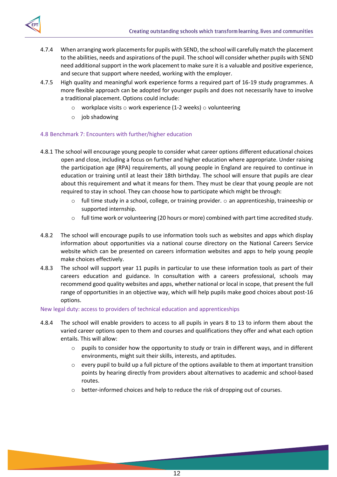

- 4.7.4 When arranging work placements for pupils with SEND, the school will carefully match the placement to the abilities, needs and aspirations of the pupil. The school will consider whether pupils with SEND need additional support in the work placement to make sure it is a valuable and positive experience, and secure that support where needed, working with the employer.
- 4.7.5 High quality and meaningful work experience forms a required part of 16-19 study programmes. A more flexible approach can be adopted for younger pupils and does not necessarily have to involve a traditional placement. Options could include:
	- $\circ$  workplace visits  $\circ$  work experience (1-2 weeks)  $\circ$  volunteering
	- o job shadowing

# 4.8 Benchmark 7: Encounters with further/higher education

- 4.8.1 The school will encourage young people to consider what career options different educational choices open and close, including a focus on further and higher education where appropriate. Under raising the participation age (RPA) requirements, all young people in England are required to continue in education or training until at least their 18th birthday. The school will ensure that pupils are clear about this requirement and what it means for them. They must be clear that young people are not required to stay in school. They can choose how to participate which might be through:
	- $\circ$  full time study in a school, college, or training provider.  $\circ$  an apprenticeship, traineeship or supported internship.
	- o full time work or volunteering (20 hours or more) combined with part time accredited study.
- 4.8.2 The school will encourage pupils to use information tools such as websites and apps which display information about opportunities via a national course directory on the National Careers Service website which can be presented on careers information websites and apps to help young people make choices effectively.
- 4.8.3 The school will support year 11 pupils in particular to use these information tools as part of their careers education and guidance. In consultation with a careers professional, schools may recommend good quality websites and apps, whether national or local in scope, that present the full range of opportunities in an objective way, which will help pupils make good choices about post-16 options.

### New legal duty: access to providers of technical education and apprenticeships

- 4.8.4 The school will enable providers to access to all pupils in years 8 to 13 to inform them about the varied career options open to them and courses and qualifications they offer and what each option entails. This will allow:
	- $\circ$  pupils to consider how the opportunity to study or train in different ways, and in different environments, might suit their skills, interests, and aptitudes.
	- $\circ$  every pupil to build up a full picture of the options available to them at important transition points by hearing directly from providers about alternatives to academic and school-based routes.
	- o better-informed choices and help to reduce the risk of dropping out of courses.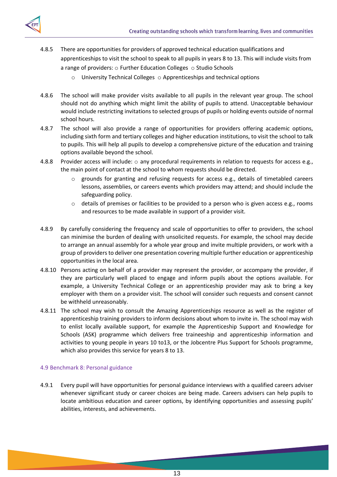

- 4.8.5 There are opportunities for providers of approved technical education qualifications and apprenticeships to visit the school to speak to all pupils in years 8 to 13. This will include visits from a range of providers:  $\circ$  Further Education Colleges  $\circ$  Studio Schools
	- o University Technical Colleges o Apprenticeships and technical options
- 4.8.6 The school will make provider visits available to all pupils in the relevant year group. The school should not do anything which might limit the ability of pupils to attend. Unacceptable behaviour would include restricting invitations to selected groups of pupils or holding events outside of normal school hours.
- 4.8.7 The school will also provide a range of opportunities for providers offering academic options, including sixth form and tertiary colleges and higher education institutions, to visit the school to talk to pupils. This will help all pupils to develop a comprehensive picture of the education and training options available beyond the school.
- 4.8.8 Provider access will include:  $\circ$  any procedural requirements in relation to requests for access e.g., the main point of contact at the school to whom requests should be directed.
	- $\circ$  grounds for granting and refusing requests for access e.g., details of timetabled careers lessons, assemblies, or careers events which providers may attend; and should include the safeguarding policy.
	- o details of premises or facilities to be provided to a person who is given access e.g., rooms and resources to be made available in support of a provider visit.
- 4.8.9 By carefully considering the frequency and scale of opportunities to offer to providers, the school can minimise the burden of dealing with unsolicited requests. For example, the school may decide to arrange an annual assembly for a whole year group and invite multiple providers, or work with a group of providers to deliver one presentation covering multiple further education or apprenticeship opportunities in the local area.
- 4.8.10 Persons acting on behalf of a provider may represent the provider, or accompany the provider, if they are particularly well placed to engage and inform pupils about the options available. For example, a University Technical College or an apprenticeship provider may ask to bring a key employer with them on a provider visit. The school will consider such requests and consent cannot be withheld unreasonably.
- 4.8.11 The school may wish to consult the Amazing Apprenticeships resource as well as the register of apprenticeship training providers to inform decisions about whom to invite in. The school may wish to enlist locally available support, for example the Apprenticeship Support and Knowledge for Schools (ASK) programme which delivers free traineeship and apprenticeship information and activities to young people in years 10 to13, or the Jobcentre Plus Support for Schools programme, which also provides this service for years 8 to 13.

# 4.9 Benchmark 8: Personal guidance

4.9.1 Every pupil will have opportunities for personal guidance interviews with a qualified careers adviser whenever significant study or career choices are being made. Careers advisers can help pupils to locate ambitious education and career options, by identifying opportunities and assessing pupils' abilities, interests, and achievements.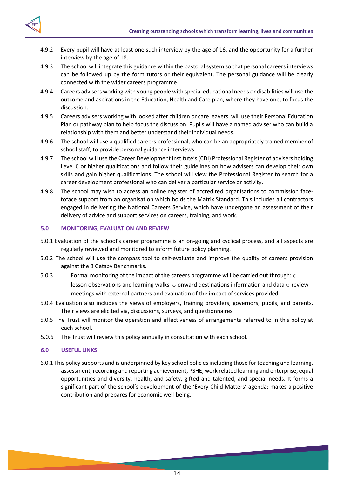

- 4.9.2 Every pupil will have at least one such interview by the age of 16, and the opportunity for a further interview by the age of 18.
- 4.9.3 The school will integrate this guidance within the pastoral system so that personal careers interviews can be followed up by the form tutors or their equivalent. The personal guidance will be clearly connected with the wider careers programme.
- 4.9.4 Careers advisers working with young people with special educational needs or disabilities will use the outcome and aspirations in the Education, Health and Care plan, where they have one, to focus the discussion.
- 4.9.5 Careers advisers working with looked after children or care leavers, will use their Personal Education Plan or pathway plan to help focus the discussion. Pupils will have a named adviser who can build a relationship with them and better understand their individual needs.
- 4.9.6 The school will use a qualified careers professional, who can be an appropriately trained member of school staff, to provide personal guidance interviews.
- 4.9.7 The school will use the Career Development Institute's (CDI) Professional Register of advisers holding Level 6 or higher qualifications and follow their guidelines on how advisers can develop their own skills and gain higher qualifications. The school will view the Professional Register to search for a career development professional who can deliver a particular service or activity.
- 4.9.8 The school may wish to access an online register of accredited organisations to commission facetoface support from an organisation which holds the Matrix Standard. This includes all contractors engaged in delivering the National Careers Service, which have undergone an assessment of their delivery of advice and support services on careers, training, and work.

## <span id="page-13-0"></span>**5.0 MONITORING, EVALUATION AND REVIEW**

- 5.0.1 Evaluation of the school's career programme is an on-going and cyclical process, and all aspects are regularly reviewed and monitored to inform future policy planning.
- 5.0.2 The school will use the compass tool to self-evaluate and improve the quality of careers provision against the 8 Gatsby Benchmarks.
- 5.0.3 Formal monitoring of the impact of the careers programme will be carried out through: o lesson observations and learning walks  $\circ$  onward destinations information and data  $\circ$  review meetings with external partners and evaluation of the impact of services provided.
- 5.0.4 Evaluation also includes the views of employers, training providers, governors, pupils, and parents. Their views are elicited via, discussions, surveys, and questionnaires.
- 5.0.5 The Trust will monitor the operation and effectiveness of arrangements referred to in this policy at each school.
- 5.0.6 The Trust will review this policy annually in consultation with each school.

### <span id="page-13-1"></span>**6.0 USEFUL LINKS**

6.0.1 This policy supports and is underpinned by key school policies including those for teaching and learning, assessment, recording and reporting achievement, PSHE, work related learning and enterprise, equal opportunities and diversity, health, and safety, gifted and talented, and special needs. It forms a significant part of the school's development of the 'Every Child Matters' agenda: makes a positive contribution and prepares for economic well-being.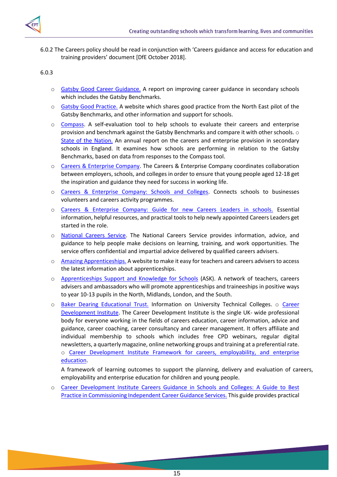

6.0.2 The Careers policy should be read in conjunction with 'Careers guidance and access for education and training providers' document [DfE October 2018].

## 6.0.3

- o [Gatsby Good Career Guidance.](http://www.gatsby.org.uk/goodcareerguidance) [A](http://www.gatsby.org.uk/goodcareerguidance) report on improving career guidance in secondary schools which includes the Gatsby Benchmarks.
- o [Gatsby Good Practice.](http://www.goodcareerguidance.org.uk/) [A](http://www.goodcareerguidance.org.uk/) website which shares good practice from the North East pilot of the Gatsby Benchmarks, and other information and support for schools.
- o [Compass.](https://www.careersandenterprise.co.uk/schools-colleges/compass-benchmark-tool) A self-evaluation tool to help schools to evaluate their careers and enterprise provision and benchmark against the Gatsby Benchmarks and compare it with other schools. o [State of the Nation.](https://www.careersandenterprise.co.uk/sites/default/files/uploaded/state_of_the_nation_report_digital.pdf) [An](https://www.careersandenterprise.co.uk/sites/default/files/uploaded/state_of_the_nation_report_digital.pdf) annual report on the careers and enterprise provision in secondary schools in England. It examines how schools are performing in relation to the Gatsby Benchmarks, based on data from responses to the Compass tool.
- o [Careers & Enterprise Company.](https://www.careersandenterprise.co.uk/) The Careers & Enterprise Company coordinates collaboration between employers, schools, and colleges in order to ensure that young people aged 12-18 get the inspiration and guidance they need for success in working life.
- o [Careers & Enterprise Company: Schools and Colleges.](http://www.careersandenterprise.co.uk/schools-colleges) Connects schools to businesses volunteers and careers activity programmes.
- o [Careers & Enterprise Company: Guide for new Careers Leaders in schools.](https://www.careersandenterprise.co.uk/schools-colleges/careers-leaders/guide-new-careers-leaders-schools) [E](https://www.careersandenterprise.co.uk/schools-colleges/careers-leaders/guide-new-careers-leaders-schools)ssential information, helpful resources, and practical tools to help newly appointed Careers Leaders get started in the role.
- o [National Careers Service.](https://nationalcareersservice.direct.gov.uk/Pages/Home.aspx) The National Careers Service provides information, advice, and guidance to help people make decisions on learning, training, and work opportunities. The service offers confidential and impartial advice delivered by qualified careers advisers.
- o [Amazing Apprenticeships.](http://amazingapprenticeships.com/) [A](http://amazingapprenticeships.com/) website to make it easy for teachers and careers advisers to access the latest information about apprenticeships.
- o [Apprenticeships Support and Knowledge for Schools](https://amazingapprenticeships.com/about-ask/) [\(A](https://amazingapprenticeships.com/about-ask/)SK). A network of teachers, careers advisers and ambassadors who will promote apprenticeships and traineeships in positive ways to year 10-13 pupils in the North, Midlands, London, and the South.
- o [Baker Dearing Educational Trust.](http://www.utcolleges.org/) [In](http://www.utcolleges.org/)formation on University Technical Colleges. o Career [Development Institute.](http://www.thecdi.net/) The Career Development Institute is the single UK- wide professional body for everyone working in the fields of careers education, career information, advice and guidance, career coaching, career consultancy and career management. It offers affiliate and individual membership to schools which includes free CPD webinars, regular digital newsletters, a quarterly magazine, online networking groups and training at a preferential rate.

o [Career Development Institute Framework for careers, employability,](http://www.thecdi.net/write/Framework/BP385-CDI_Framework-v7.pdf) [and enterprise](http://www.thecdi.net/write/Framework/BP385-CDI_Framework-v7.pdf) [education.](http://www.thecdi.net/write/Framework/BP385-CDI_Framework-v7.pdf) 

A framework of learning outcomes to support the planning, delivery and evaluation of careers, employability and enterprise education for children and young people.

o [Career Development Institute Careers Guidance in Schools and Colleges: A](http://www.thecdi.net/write/BP560-Career_Guidance_in_Schools_2018-Web.pdf) [Guide to Best](http://www.thecdi.net/write/BP560-Career_Guidance_in_Schools_2018-Web.pdf) [Practice in Commissioning Independent Career](http://www.thecdi.net/write/BP560-Career_Guidance_in_Schools_2018-Web.pdf) [Guidance Services.](http://www.thecdi.net/write/BP560-Career_Guidance_in_Schools_2018-Web.pdf) [Th](http://www.thecdi.net/write/BP560-Career_Guidance_in_Schools_2018-Web.pdf)is guide provides practical